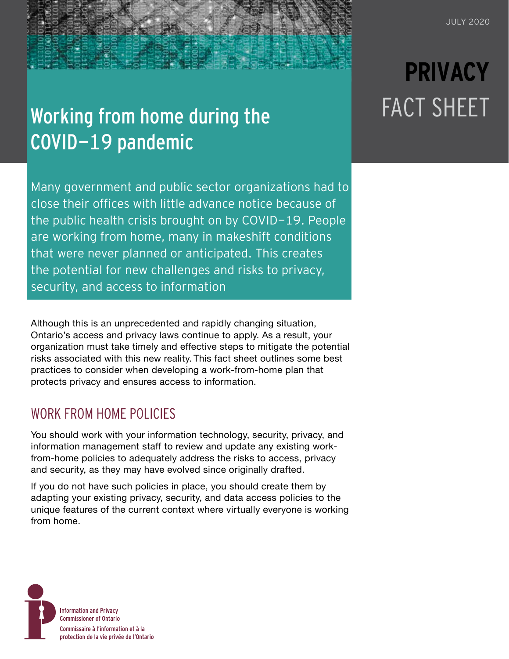## Working from home during the COVID-19 pandemic

Many government and public sector organizations had to close their offices with little advance notice because of the public health crisis brought on by COVID-19. People are working from home, many in makeshift conditions that were never planned or anticipated. This creates the potential for new challenges and risks to privacy, security, and access to information

Although this is an unprecedented and rapidly changing situation, Ontario's access and privacy laws continue to apply. As a result, your organization must take timely and effective steps to mitigate the potential risks associated with this new reality. This fact sheet outlines some best practices to consider when developing a work-from-home plan that protects privacy and ensures access to information.

### WORK FROM HOME POLICIES

You should work with your information technology, security, privacy, and information management staff to review and update any existing workfrom-home policies to adequately address the risks to access, privacy and security, as they may have evolved since originally drafted.

If you do not have such policies in place, you should create them by adapting your existing privacy, security, and data access policies to the unique features of the current context where virtually everyone is working from home.



# **PRIVACY** FACT SHEET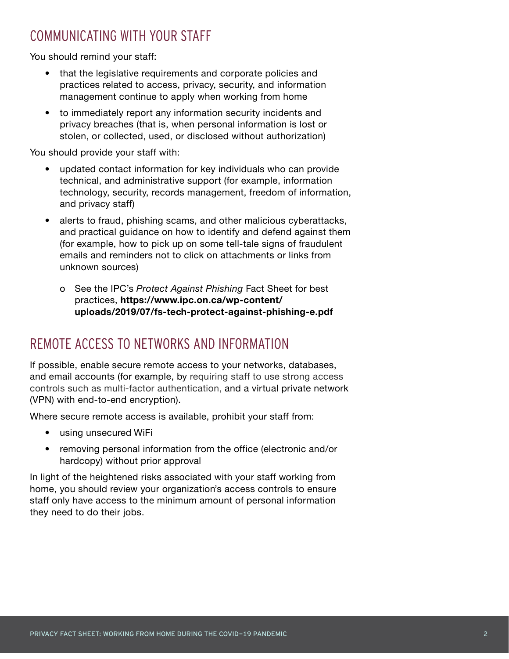### COMMUNICATING WITH YOUR STAFF

You should remind your staff:

- that the legislative requirements and corporate policies and practices related to access, privacy, security, and information management continue to apply when working from home
- to immediately report any information security incidents and privacy breaches (that is, when personal information is lost or stolen, or collected, used, or disclosed without authorization)

You should provide your staff with:

- updated contact information for key individuals who can provide technical, and administrative support (for example, information technology, security, records management, freedom of information, and privacy staff)
- alerts to fraud, phishing scams, and other malicious cyberattacks, and practical guidance on how to identify and defend against them (for example, how to pick up on some tell-tale signs of fraudulent emails and reminders not to click on attachments or links from unknown sources)
	- o See the IPC's *Protect Against Phishing* Fact Sheet for best practices, **[https://www.ipc.on.ca/wp-content/](https://www.ipc.on.ca/wp-content/uploads/2019/07/fs-tech-protect-against-phishing-e.pdf) [uploads/2019/07/fs-tech-protect-against-phishing-e.pdf](https://www.ipc.on.ca/wp-content/uploads/2019/07/fs-tech-protect-against-phishing-e.pdf)**

### REMOTE ACCESS TO NETWORKS AND INFORMATION

If possible, enable secure remote access to your networks, databases, and email accounts (for example, by requiring staff to use strong access controls such as multi-factor authentication, and a virtual private network (VPN) with end-to-end encryption).

Where secure remote access is available, prohibit your staff from:

- using unsecured WiFi
- removing personal information from the office (electronic and/or hardcopy) without prior approval

In light of the heightened risks associated with your staff working from home, you should review your organization's access controls to ensure staff only have access to the minimum amount of personal information they need to do their jobs.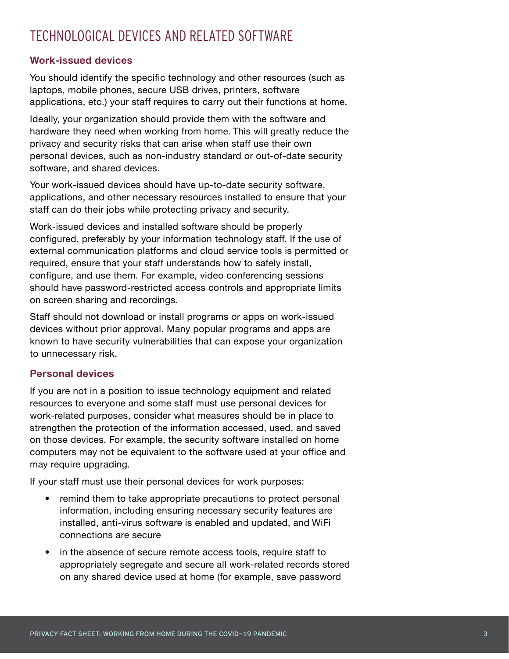### TECHNOLOGICAL DEVICES AND RELATED SOFTWARE

#### **Work-issued devices**

You should identify the specific technology and other resources (such as laptops, mobile phones, secure USB drives, printers, software applications, etc.) your staff requires to carry out their functions at home.

Ideally, your organization should provide them with the software and hardware they need when working from home. This will greatly reduce the privacy and security risks that can arise when staff use their own personal devices, such as non-industry standard or out-of-date security software, and shared devices.

Your work-issued devices should have up-to-date security software, applications, and other necessary resources installed to ensure that your staff can do their jobs while protecting privacy and security.

Work-issued devices and installed software should be properly configured, preferably by your information technology staff. If the use of external communication platforms and cloud service tools is permitted or required, ensure that your staff understands how to safely install, configure, and use them. For example, video conferencing sessions should have password-restricted access controls and appropriate limits on screen sharing and recordings.

Staff should not download or install programs or apps on work-issued devices without prior approval. Many popular programs and apps are known to have security vulnerabilities that can expose your organization to unnecessary risk.

#### **Personal devices**

If you are not in a position to issue technology equipment and related resources to everyone and some staff must use personal devices for work-related purposes, consider what measures should be in place to strengthen the protection of the information accessed, used, and saved on those devices. For example, the security software installed on home computers may not be equivalent to the software used at your office and may require upgrading.

If your staff must use their personal devices for work purposes:

- remind them to take appropriate precautions to protect personal information, including ensuring necessary security features are installed, anti-virus software is enabled and updated, and WiFi connections are secure
- in the absence of secure remote access tools, require staff to appropriately segregate and secure all work-related records stored on any shared device used at home (for example, save password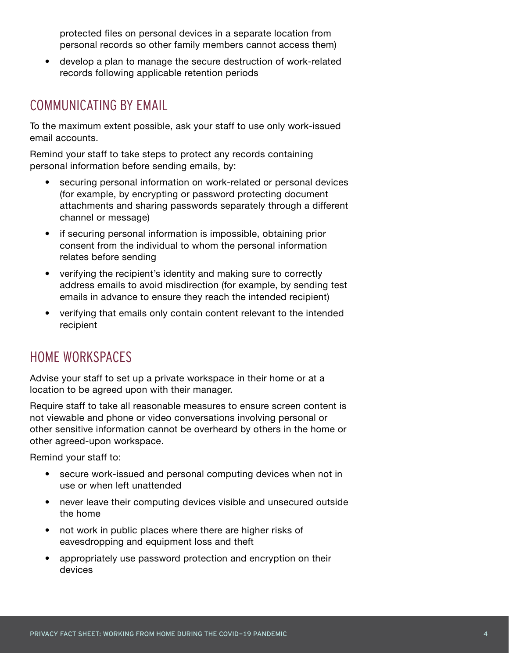protected files on personal devices in a separate location from personal records so other family members cannot access them)

• develop a plan to manage the secure destruction of work-related records following applicable retention periods

### COMMUNICATING BY EMAIL

To the maximum extent possible, ask your staff to use only work-issued email accounts.

Remind your staff to take steps to protect any records containing personal information before sending emails, by:

- securing personal information on work-related or personal devices (for example, by encrypting or password protecting document attachments and sharing passwords separately through a different channel or message)
- if securing personal information is impossible, obtaining prior consent from the individual to whom the personal information relates before sending
- verifying the recipient's identity and making sure to correctly address emails to avoid misdirection (for example, by sending test emails in advance to ensure they reach the intended recipient)
- verifying that emails only contain content relevant to the intended recipient

### HOME WORKSPACES

Advise your staff to set up a private workspace in their home or at a location to be agreed upon with their manager.

Require staff to take all reasonable measures to ensure screen content is not viewable and phone or video conversations involving personal or other sensitive information cannot be overheard by others in the home or other agreed-upon workspace.

Remind your staff to:

- secure work-issued and personal computing devices when not in use or when left unattended
- never leave their computing devices visible and unsecured outside the home
- not work in public places where there are higher risks of eavesdropping and equipment loss and theft
- appropriately use password protection and encryption on their devices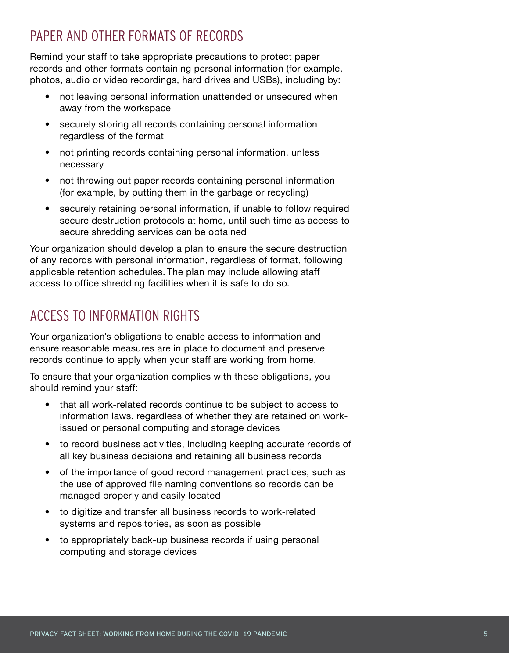### PAPER AND OTHER FORMATS OF RECORDS

Remind your staff to take appropriate precautions to protect paper records and other formats containing personal information (for example, photos, audio or video recordings, hard drives and USBs), including by:

- not leaving personal information unattended or unsecured when away from the workspace
- securely storing all records containing personal information regardless of the format
- not printing records containing personal information, unless necessary
- not throwing out paper records containing personal information (for example, by putting them in the garbage or recycling)
- securely retaining personal information, if unable to follow required secure destruction protocols at home, until such time as access to secure shredding services can be obtained

Your organization should develop a plan to ensure the secure destruction of any records with personal information, regardless of format, following applicable retention schedules. The plan may include allowing staff access to office shredding facilities when it is safe to do so.

### ACCESS TO INFORMATION RIGHTS

Your organization's obligations to enable access to information and ensure reasonable measures are in place to document and preserve records continue to apply when your staff are working from home.

To ensure that your organization complies with these obligations, you should remind your staff:

- that all work-related records continue to be subject to access to information laws, regardless of whether they are retained on workissued or personal computing and storage devices
- to record business activities, including keeping accurate records of all key business decisions and retaining all business records
- of the importance of good record management practices, such as the use of approved file naming conventions so records can be managed properly and easily located
- to digitize and transfer all business records to work-related systems and repositories, as soon as possible
- to appropriately back-up business records if using personal computing and storage devices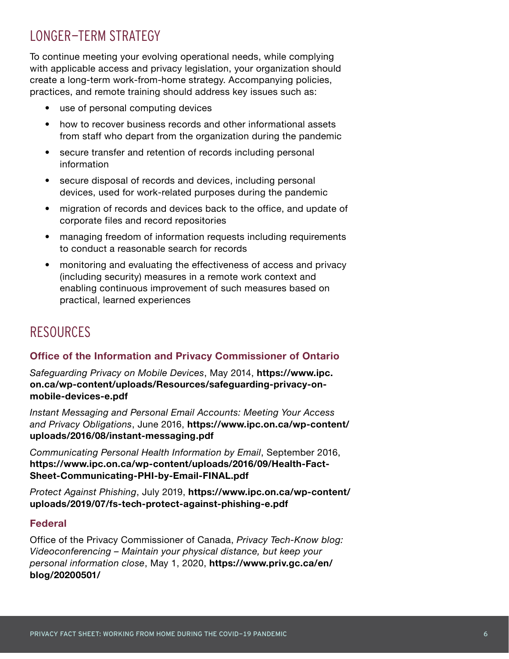### LONGER-TERM STRATEGY

To continue meeting your evolving operational needs, while complying with applicable access and privacy legislation, your organization should create a long-term work-from-home strategy. Accompanying policies, practices, and remote training should address key issues such as:

- use of personal computing devices
- how to recover business records and other informational assets from staff who depart from the organization during the pandemic
- secure transfer and retention of records including personal information
- secure disposal of records and devices, including personal devices, used for work-related purposes during the pandemic
- migration of records and devices back to the office, and update of corporate files and record repositories
- managing freedom of information requests including requirements to conduct a reasonable search for records
- monitoring and evaluating the effectiveness of access and privacy (including security) measures in a remote work context and enabling continuous improvement of such measures based on practical, learned experiences

### **RESOURCES**

#### **Office of the Information and Privacy Commissioner of Ontario**

*Safeguarding Privacy on Mobile Devices*, May 2014, **[https://www.ipc.](https://www.ipc.on.ca/wp-content/uploads/Resources/safeguarding-privacy-on-mobile-devices-e.pdf) [on.ca/wp-content/uploads/Resources/safeguarding-privacy-on](https://www.ipc.on.ca/wp-content/uploads/Resources/safeguarding-privacy-on-mobile-devices-e.pdf)[mobile-devices-e.pdf](https://www.ipc.on.ca/wp-content/uploads/Resources/safeguarding-privacy-on-mobile-devices-e.pdf)**

*Instant Messaging and Personal Email Accounts: Meeting Your Access and Privacy Obligations*, June 2016, **[https://www.ipc.on.ca/wp-content/](https://www.ipc.on.ca/wp-content/uploads/2016/08/instant-messaging.pdf) [uploads/2016/08/instant-messaging.pdf](https://www.ipc.on.ca/wp-content/uploads/2016/08/instant-messaging.pdf)**

*Communicating Personal Health Information by Email*, September 2016, **[https://www.ipc.on.ca/wp-content/uploads/2016/09/Health-Fact-](https://www.ipc.on.ca/wp-content/uploads/2016/09/Health-Fact-Sheet-Communicating-PHI-by-Email-FINAL.pdf)[Sheet-Communicating-PHI-by-Email-FINAL.pdf](https://www.ipc.on.ca/wp-content/uploads/2016/09/Health-Fact-Sheet-Communicating-PHI-by-Email-FINAL.pdf)**

*Protect Against Phishing*, July 2019, **[https://www.ipc.on.ca/wp-content/](https://www.ipc.on.ca/wp-content/uploads/2019/07/fs-tech-protect-against-phishing-e.pdf) [uploads/2019/07/fs-tech-protect-against-phishing-e.pdf](https://www.ipc.on.ca/wp-content/uploads/2019/07/fs-tech-protect-against-phishing-e.pdf)**

#### **Federal**

Office of the Privacy Commissioner of Canada, *Privacy Tech-Know blog: Videoconferencing – Maintain your physical distance, but keep your personal information close*, May 1, 2020, **[https://www.priv.gc.ca/en/](https://www.priv.gc.ca/en/blog/20200501/) [blog/20200501/](https://www.priv.gc.ca/en/blog/20200501/)**